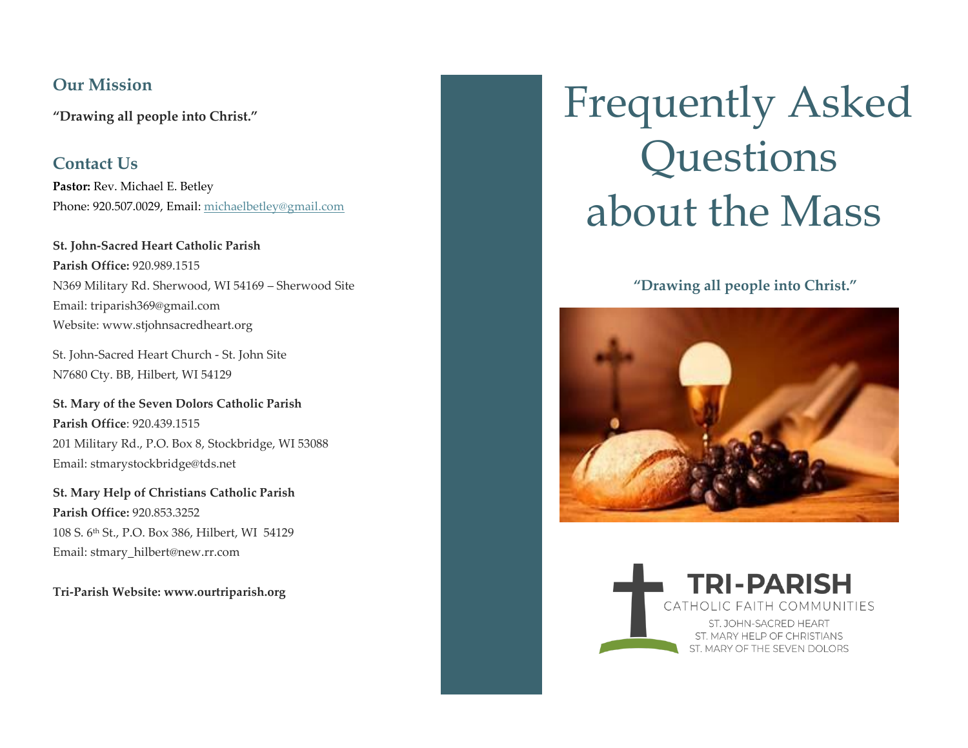# **Our Mission**

**"Drawing all people into Christ."** 

**Contact Us Pastor:** Rev. Michael E. Betley Phone: 920.507.0029, Email: [michaelbetley@gmail.com](mailto:michaelbetley@gmail.com)

**St. John-Sacred Heart Catholic Parish Parish Office:** 920.989.1515 N369 Military Rd. Sherwood, WI 54169 – Sherwood Site Email: [triparish369@gmail.com](mailto:triparish369@gmail.com) Website: www.stjohnsacredheart.org

St. John-Sacred Heart Church - St. John Site N7680 Cty. BB, Hilbert, WI 54129

**St. Mary of the Seven Dolors Catholic Parish Parish Office**: 920.439.1515 201 Military Rd., P.O. Box 8, Stockbridge, WI 53088 Email: stmarystockbridge@tds.net

**St. Mary Help of Christians Catholic Parish Parish Office:** 920.853.3252 108 S. 6th St., P.O. Box 386, Hilbert, WI 54129 Email: stmary\_hilbert@new.rr.com

**Tri-Parish Website: www.ourtriparish.org**

# Frequently Asked Questions about the Mass

## **"Drawing all people into Christ."**



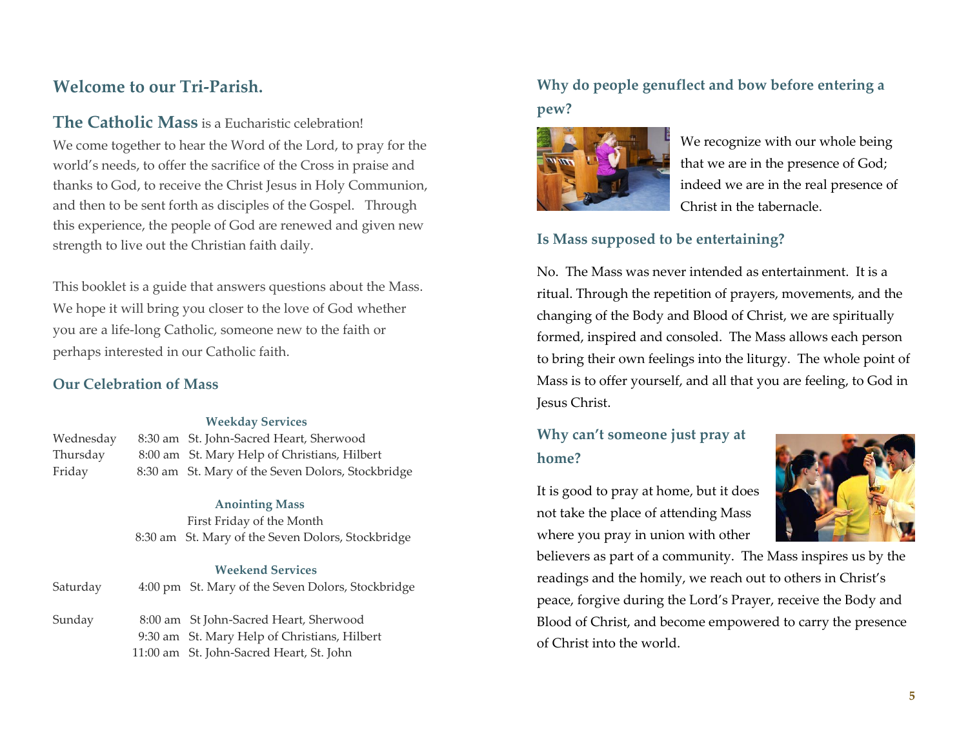# **Welcome to our Tri-Parish.**

**The Catholic Mass** is a Eucharistic celebration!

We come together to hear the Word of the Lord, to pray for the world's needs, to offer the sacrifice of the Cross in praise and thanks to God, to receive the Christ Jesus in Holy Communion, and then to be sent forth as disciples of the Gospel. Through this experience, the people of God are renewed and given new strength to live out the Christian faith daily.

This booklet is a guide that answers questions about the Mass. We hope it will bring you closer to the love of God whether you are a life-long Catholic, someone new to the faith or perhaps interested in our Catholic faith.

#### **Our Celebration of Mass**

#### **Weekday Services**

| Wednesday | 8:30 am St. John-Sacred Heart, Sherwood           |
|-----------|---------------------------------------------------|
| Thursday  | 8:00 am St. Mary Help of Christians, Hilbert      |
| Friday    | 8:30 am St. Mary of the Seven Dolors, Stockbridge |

#### **Anointing Mass**

First Friday of the Month 8:30 am St. Mary of the Seven Dolors, Stockbridge

#### **Weekend Services**

| Saturday | 4:00 pm St. Mary of the Seven Dolors, Stockbridge                                                                                  |
|----------|------------------------------------------------------------------------------------------------------------------------------------|
| Sunday   | 8:00 am St John-Sacred Heart, Sherwood<br>9:30 am St. Mary Help of Christians, Hilbert<br>11:00 am St. John-Sacred Heart, St. John |
|          |                                                                                                                                    |

# **Why do people genuflect and bow before entering a pew?**



We recognize with our whole being that we are in the presence of God; indeed we are in the real presence of Christ in the tabernacle.

## **Is Mass supposed to be entertaining?**

No. The Mass was never intended as entertainment. It is a ritual. Through the repetition of prayers, movements, and the changing of the Body and Blood of Christ, we are spiritually formed, inspired and consoled. The Mass allows each person to bring their own feelings into the liturgy. The whole point of Mass is to offer yourself, and all that you are feeling, to God in Jesus Christ.

# **Why can't someone just pray at home?**

It is good to pray at home, but it does not take the place of attending Mass where you pray in union with other



believers as part of a community. The Mass inspires us by the readings and the homily, we reach out to others in Christ's peace, forgive during the Lord's Prayer, receive the Body and Blood of Christ, and become empowered to carry the presence of Christ into the world.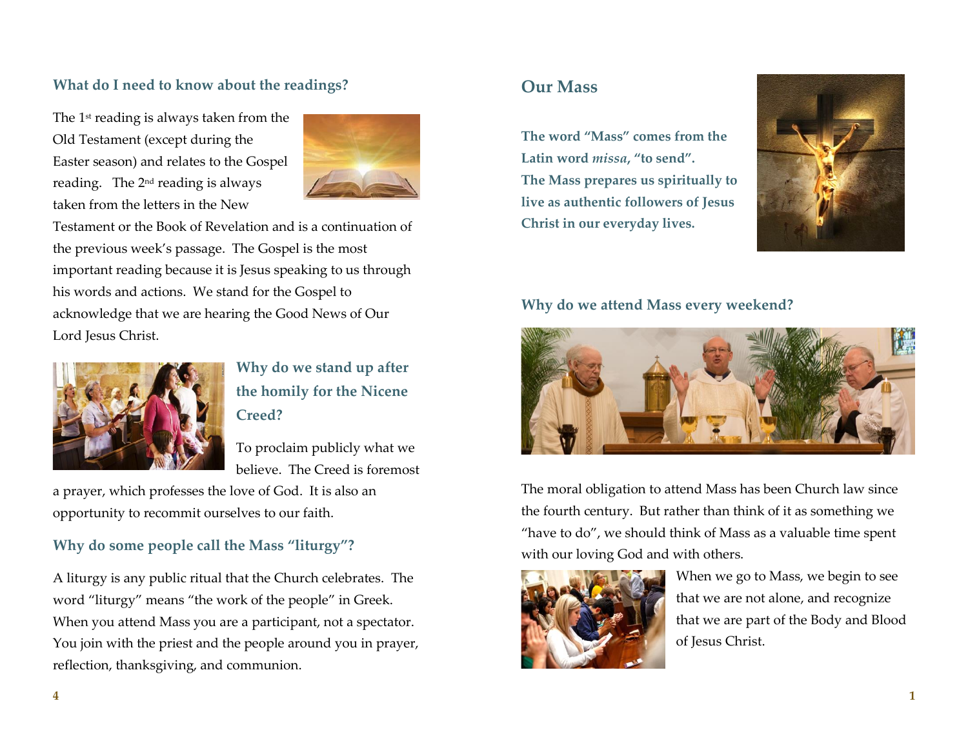# **What do I need to know about the readings?**

The 1<sup>st</sup> reading is always taken from the Old Testament (except during the Easter season) and relates to the Gospel reading. The  $2<sup>nd</sup>$  reading is always taken from the letters in the New



Testament or the Book of Revelation and is a continuation of the previous week's passage. The Gospel is the most important reading because it is Jesus speaking to us through his words and actions. We stand for the Gospel to acknowledge that we are hearing the Good News of Our Lord Jesus Christ.



# **Why do we stand up after the homily for the Nicene Creed?**

To proclaim publicly what we believe. The Creed is foremost

a prayer, which professes the love of God. It is also an opportunity to recommit ourselves to our faith.

# **Why do some people call the Mass "liturgy"?**

A liturgy is any public ritual that the Church celebrates. The word "liturgy" means "the work of the people" in Greek. When you attend Mass you are a participant, not a spectator. You join with the priest and the people around you in prayer, reflection, thanksgiving, and communion.

# **Our Mass**

**The word "Mass" comes from the Latin word** *missa***, "to send". The Mass prepares us spiritually to live as authentic followers of Jesus Christ in our everyday lives.**



#### **Why do we attend Mass every weekend?**



The moral obligation to attend Mass has been Church law since the fourth century. But rather than think of it as something we "have to do", we should think of Mass as a valuable time spent with our loving God and with others.



When we go to Mass, we begin to see that we are not alone, and recognize that we are part of the Body and Blood of Jesus Christ.